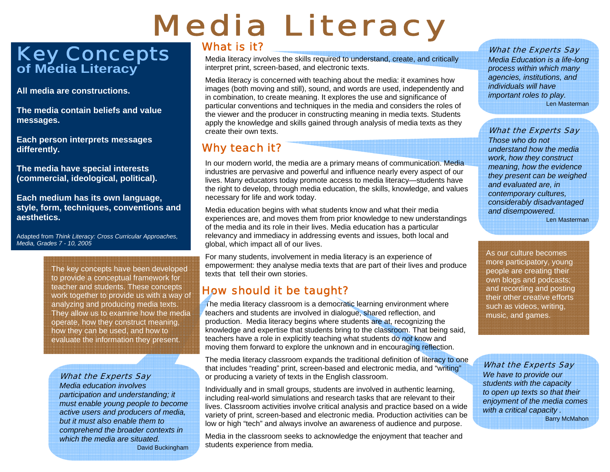# Media Literacy

# Key Concepts **of Media Literacy**

**All media are constructions.** 

**The media contain beliefs and value messages.** 

**Each person interprets messages differently.** 

**The media have special interests (commercial, ideological, political).** 

**Each medium has its own language, style, form, techniques, conventions and aesthetics.** 

Adapted from *Think Literacy: Cross Curricular Approaches, Media, Grades 7 - 10, 2005* 

> The key concepts have been developed to provide a conceptual framework for teacher and students. These concepts work together to provide us with a way of analyzing and producing media texts. They allow us to examine how the media operate, how they construct meaning, how they can be used, and how to evaluate the information they present.

### What the Experts Say

*Media education involves participation and understanding; it must enable young people to become active users and producers of media, but it must also enable them to comprehend the broader contexts in which the media are situated.*David Buckingham

### What is it?

Media literacy involves the skills required to understand, create, and critically interpret print, screen-based, and electronic texts.

Media literacy is concerned with teaching about the media: it examines how images (both moving and still), sound, and words are used, independently and in combination, to create meaning. It explores the use and significance of particular conventions and techniques in the media and considers the roles of the viewer and the producer in constructing meaning in media texts. Students apply the knowledge and skills gained through analysis of media texts as they create their own texts.

## Why teach it?

In our modern world, the media are a primary means of communication. Media industries are pervasive and powerful and influence nearly every aspect of our lives. Many educators today promote access to media literacy—students have the right to develop, through media education, the skills, knowledge, and values necessary for life and work today.

Media education begins with what students know and what their media experiences are, and moves them from prior knowledge to new understandings of the media and its role in their lives. Media education has a particular relevancy and immediacy in addressing events and issues, both local and global, which impact all of our lives.

For many students, involvement in media literacy is an experience of empowerment: they analyse media texts that are part of their lives and produce texts that tell their own stories.

### How should it be taught?

The media literacy classroom is a democratic learning environment where teachers and students are involved in dialogue, shared reflection, and production. Media literacy begins where students are at, recognizing the knowledge and expertise that students bring to the classroom. That being said, teachers have a role in explicitly teaching what students do *not* know and moving them forward to explore the unknown and in encouraging reflection.

The media literacy classroom expands the traditional definition of literacy to one that includes "reading" print, screen-based and electronic media, and "writing" or producing a variety of texts in the English classroom.

Individually and in small groups, students are involved in authentic learning, including real-world simulations and research tasks that are relevant to their lives. Classroom activities involve critical analysis and practice based on a wide variety of print, screen-based and electronic media. Production activities can be low or high "tech" and always involve an awareness of audience and purpose.

Media in the classroom seeks to acknowledge the enjoyment that teacher and students experience from media.

#### What the Experts Say

*Media Education is a life-long process within which many agencies, institutions, and individuals will have important roles to play.*  Len Masterman

**What the Experts Say** 

*Those who do not understand how the media work, how they construct meaning, how the evidence they present can be weighed and evaluated are, in contemporary cultures, considerably disadvantaged and disempowered.*  Len Masterman

As our culture becomes more participatory, young people are creating their own blogs and podcasts; and recording and posting their other creative efforts such as videos, writing, music, and games.

What the Experts Say

*We have to provide our students with the capacity to open up texts so that their enjoyment of the media comes with a critical capacity .* Barry McMahon